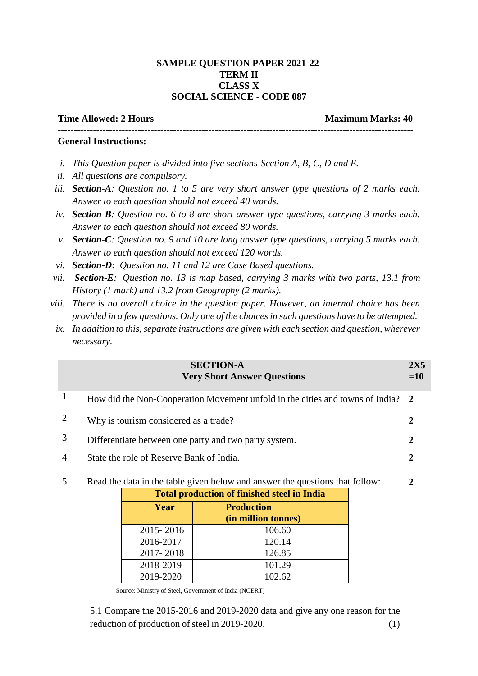### **SAMPLE QUESTION PAPER 2021-22 TERM II CLASS X SOCIAL SCIENCE - CODE 087**

# **Time Allowed: 2 Hours Maximum Marks: 40 ---------------------------------------------------------------------------------------------------------------**

### **General Instructions:**

- *i. This Question paper is divided into five sections-Section A, B, C, D and E.*
- *ii. All questions are compulsory.*
- *iii. Section-A: Question no. 1 to 5 are very short answer type questions of 2 marks each. Answer to each question should not exceed 40 words.*
- *iv. Section-B: Question no. 6 to 8 are short answer type questions, carrying 3 marks each. Answer to each question should not exceed 80 words.*
- *v. Section-C: Question no. 9 and 10 are long answer type questions, carrying 5 marks each. Answer to each question should not exceed 120 words.*
- *vi. Section-D: Question no. 11 and 12 are Case Based questions.*
- *vii. Section-E: Question no. 13 is map based, carrying 3 marks with two parts, 13.1 from History (1 mark) and 13.2 from Geography (2 marks).*
- *viii. There is no overall choice in the question paper. However, an internal choice has been provided in a few questions. Only one of the choices in such questions have to be attempted.*
	- *ix. In addition to this, separate instructions are given with each section and question, wherever necessary.*

|                | <b>SECTION-A</b><br><b>Very Short Answer Questions</b>                          | 2X5<br>$=10$ |
|----------------|---------------------------------------------------------------------------------|--------------|
|                | How did the Non-Cooperation Movement unfold in the cities and towns of India? 2 |              |
| 2              | Why is tourism considered as a trade?                                           |              |
| 3              | Differentiate between one party and two party system.                           |              |
| $\overline{4}$ | State the role of Reserve Bank of India.                                        |              |
|                | Read the data in the table given below and answer the questions that follow:    | 2            |

|           | <b>Total production of finished steel in India</b> |  |  |  |  |
|-----------|----------------------------------------------------|--|--|--|--|
| Year      | <b>Production</b>                                  |  |  |  |  |
|           | (in million tonnes)                                |  |  |  |  |
| 2015-2016 | 106.60                                             |  |  |  |  |
| 2016-2017 | 120.14                                             |  |  |  |  |
| 2017-2018 | 126.85                                             |  |  |  |  |
| 2018-2019 | 101.29                                             |  |  |  |  |
| 2019-2020 | 102.62                                             |  |  |  |  |

Source: Ministry of Steel, Government of India (NCERT)

5.1 Compare the 2015-2016 and 2019-2020 data and give any one reason for the reduction of production of steel in 2019-2020. (1)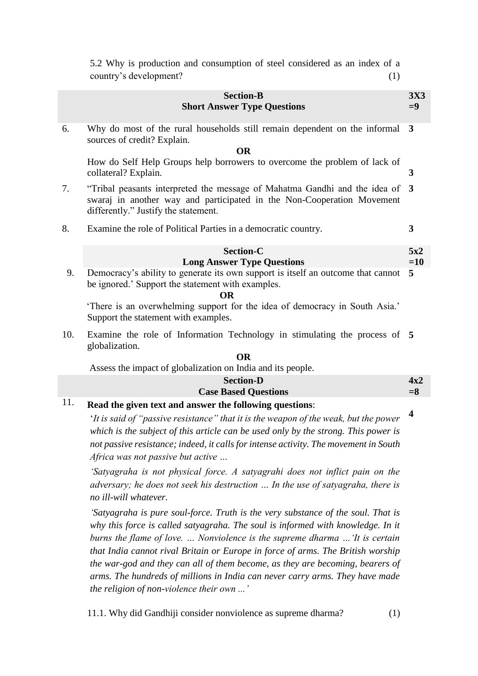|     | 5.2 Why is production and consumption of steel considered as an index of a<br>country's development?<br>(1)                                                                                                                                                               |                         |
|-----|---------------------------------------------------------------------------------------------------------------------------------------------------------------------------------------------------------------------------------------------------------------------------|-------------------------|
|     | <b>Section-B</b><br><b>Short Answer Type Questions</b>                                                                                                                                                                                                                    | <b>3X3</b><br>$= 9$     |
| 6.  | Why do most of the rural households still remain dependent on the informal<br>sources of credit? Explain.<br><b>OR</b>                                                                                                                                                    | 3                       |
|     | How do Self Help Groups help borrowers to overcome the problem of lack of<br>collateral? Explain.                                                                                                                                                                         | 3                       |
| 7.  | "Tribal peasants interpreted the message of Mahatma Gandhi and the idea of<br>swaraj in another way and participated in the Non-Cooperation Movement<br>differently." Justify the statement.                                                                              | $\overline{3}$          |
| 8.  | Examine the role of Political Parties in a democratic country.                                                                                                                                                                                                            | 3                       |
|     | Section-C<br><b>Long Answer Type Questions</b>                                                                                                                                                                                                                            | 5x2<br>$=10$            |
| 9.  | Democracy's ability to generate its own support is itself an outcome that cannot<br>be ignored.' Support the statement with examples.<br><b>OR</b><br>'There is an overwhelming support for the idea of democracy in South Asia.'<br>Support the statement with examples. | 5                       |
| 10. | Examine the role of Information Technology in stimulating the process of 5<br>globalization.<br><b>OR</b>                                                                                                                                                                 |                         |
|     | Assess the impact of globalization on India and its people.                                                                                                                                                                                                               |                         |
|     | <b>Section-D</b><br><b>Case Based Questions</b>                                                                                                                                                                                                                           | 4x2<br>$= 8$            |
| 11. | Read the given text and answer the following questions:                                                                                                                                                                                                                   | $\overline{\mathbf{4}}$ |
|     | $\mathcal{L}_{t}$ is and of "provision usuators as" that it is the suggest of the suggly but the power                                                                                                                                                                    |                         |

'*It is said of "passive resistance" that it is the weapon of the weak, but the power which is the subject of this article can be used only by the strong. This power is not passive resistance; indeed, it calls for intense activity. The movement in South Africa was not passive but active …*

*'Satyagraha is not physical force. A satyagrahi does not inflict pain on the adversary; he does not seek his destruction … In the use of satyagraha, there is no ill-will whatever.*

*'Satyagraha is pure soul-force. Truth is the very substance of the soul. That is*  why this force is called satyagraha. The soul is informed with knowledge. In it *burns the flame of love. … Nonviolence is the supreme dharma …'It is certain that India cannot rival Britain or Europe in force of arms. The British worship the war-god and they can all of them become, as they are becoming, bearers of arms. The hundreds of millions in India can never carry arms. They have made the religion of non-violence their own ...'*

11.1. Why did Gandhiji consider nonviolence as supreme dharma? (1)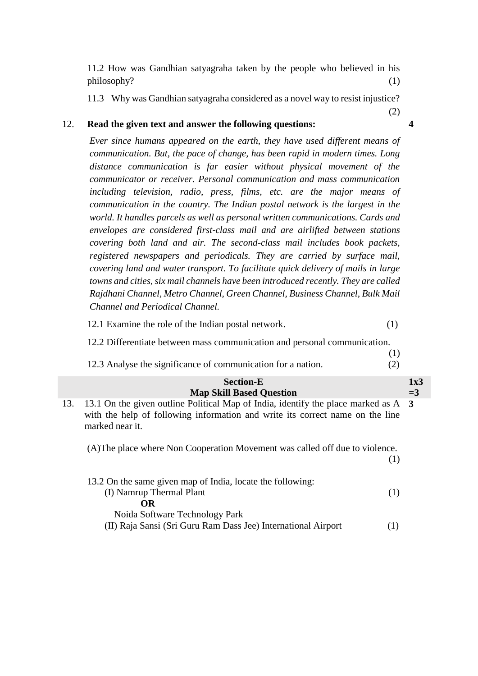11.2 How was Gandhian satyagraha taken by the people who believed in his philosophy? (1)

11.3 Why was Gandhian satyagraha considered as a novel way to resist injustice?

### 12. **Read the given text and answer the following questions:**

*Ever since humans appeared on the earth, they have used different means of communication. But, the pace of change, has been rapid in modern times. Long distance communication is far easier without physical movement of the communicator or receiver. Personal communication and mass communication including television, radio, press, films, etc. are the major means of communication in the country. The Indian postal network is the largest in the world. It handles parcels as well as personal written communications. Cards and envelopes are considered first-class mail and are airlifted between stations covering both land and air. The second-class mail includes book packets, registered newspapers and periodicals. They are carried by surface mail, covering land and water transport. To facilitate quick delivery of mails in large towns and cities, six mail channels have been introduced recently. They are called Rajdhani Channel, Metro Channel, Green Channel, Business Channel, Bulk Mail Channel and Periodical Channel.*

12.1 Examine the role of the Indian postal network. (1)

12.2 Differentiate between mass communication and personal communication.

(1) 12.3 Analyse the significance of communication for a nation. (2)

|     | <b>Section-E</b>                                                                                                                                                                       | 1x3   |
|-----|----------------------------------------------------------------------------------------------------------------------------------------------------------------------------------------|-------|
|     | <b>Map Skill Based Question</b>                                                                                                                                                        | $=$ 3 |
| 13. | 13.1 On the given outline Political Map of India, identify the place marked as A 3<br>with the help of following information and write its correct name on the line<br>marked near it. |       |
|     | (A) The place where Non Cooperation Movement was called off due to violence.<br>(1)                                                                                                    |       |
|     | 13.2 On the same given map of India, locate the following:                                                                                                                             |       |
|     | (I) Namrup Thermal Plant<br>(1)                                                                                                                                                        |       |
|     | OR                                                                                                                                                                                     |       |
|     | Noida Software Technology Park                                                                                                                                                         |       |
|     | (II) Raja Sansi (Sri Guru Ram Dass Jee) International Airport                                                                                                                          |       |

#### **4**

(2)